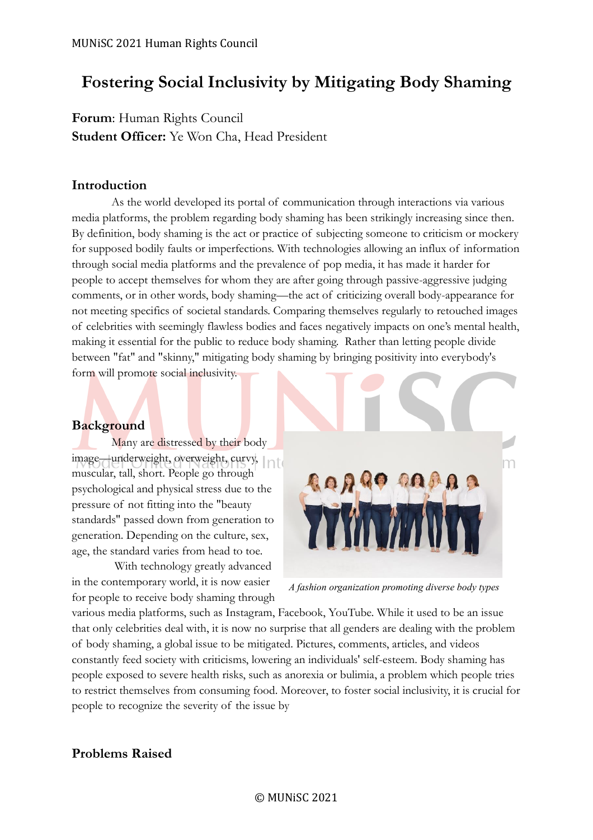## **Fostering Social Inclusivity by Mitigating Body Shaming**

**Forum**: Human Rights Council **Student Officer:** Ye Won Cha, Head President

#### **Introduction**

As the world developed its portal of communication through interactions via various media platforms, the problem regarding body shaming has been strikingly increasing since then. By definition, body shaming is the act or practice of subjecting someone to criticism or mockery for supposed bodily faults or imperfections. With technologies allowing an influx of information through social media platforms and the prevalence of pop media, it has made it harder for people to accept themselves for whom they are after going through passive-aggressive judging comments, or in other words, body shaming—the act of criticizing overall body-appearance for not meeting specifics of societal standards. Comparing themselves regularly to retouched images of celebrities with seemingly flawless bodies and faces negatively impacts on one's mental health, making it essential for the public to reduce body shaming. Rather than letting people divide between "fat" and "skinny," mitigating body shaming by bringing positivity into everybody's form will promote social inclusivity.

#### **Background**

Many are distressed by their body image—underweight, overweight, curvy, muscular, tall, short. People go through psychological and physical stress due to the pressure of not fitting into the "beauty standards" passed down from generation to generation. Depending on the culture, sex, age, the standard varies from head to toe.

With technology greatly advanced in the contemporary world, it is now easier for people to receive body shaming through



*A fashion organization promoting diverse body types*

various media platforms, such as Instagram, Facebook, YouTube. While it used to be an issue that only celebrities deal with, it is now no surprise that all genders are dealing with the problem of body shaming, a global issue to be mitigated. Pictures, comments, articles, and videos constantly feed society with criticisms, lowering an individuals' self-esteem. Body shaming has people exposed to severe health risks, such as anorexia or bulimia, a problem which people tries to restrict themselves from consuming food. Moreover, to foster social inclusivity, it is crucial for people to recognize the severity of the issue by

### **Problems Raised**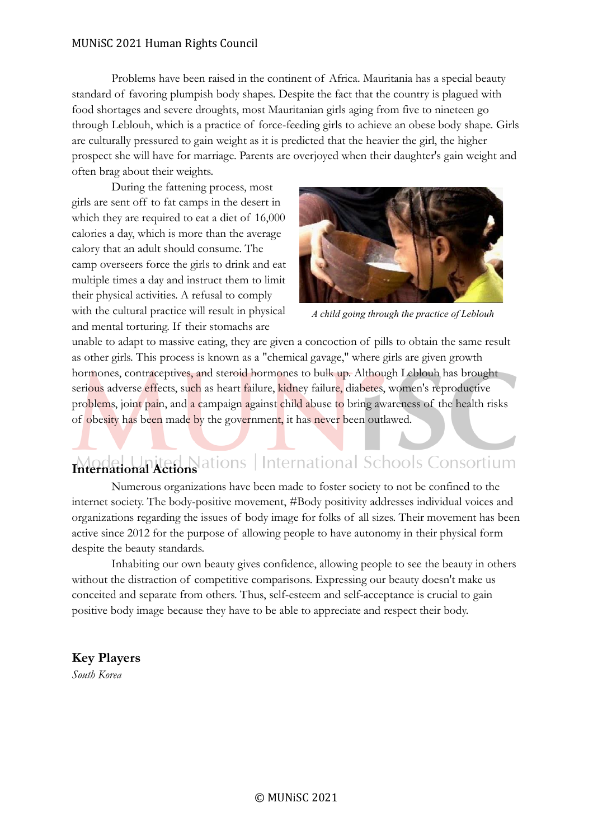#### MUNiSC 2021 Human Rights Council

Problems have been raised in the continent of Africa. Mauritania has a special beauty standard of favoring plumpish body shapes. Despite the fact that the country is plagued with food shortages and severe droughts, most Mauritanian girls aging from five to nineteen go through Leblouh, which is a practice of force-feeding girls to achieve an obese body shape. Girls are culturally pressured to gain weight as it is predicted that the heavier the girl, the higher prospect she will have for marriage. Parents are overjoyed when their daughter's gain weight and often brag about their weights.

During the fattening process, most girls are sent off to fat camps in the desert in which they are required to eat a diet of 16,000 calories a day, which is more than the average calory that an adult should consume. The camp overseers force the girls to drink and eat multiple times a day and instruct them to limit their physical activities. A refusal to comply with the cultural practice will result in physical and mental torturing. If their stomachs are



*A child going through the practice of Leblouh* 

unable to adapt to massive eating, they are given a concoction of pills to obtain the same result as other girls. This process is known as a "chemical gavage," where girls are given growth hormones, contraceptives, and steroid hormones to bulk up. Although Leblouh has brought serious adverse effects, such as heart failure, kidney failure, diabetes, women's reproductive problems, joint pain, and a campaign against child abuse to bring awareness of the health risks of obesity has been made by the government, it has never been outlawed.

# Model United Nations | International Schools Consortium

Numerous organizations have been made to foster society to not be confined to the internet society. The body-positive movement, #Body positivity addresses individual voices and organizations regarding the issues of body image for folks of all sizes. Their movement has been active since 2012 for the purpose of allowing people to have autonomy in their physical form despite the beauty standards.

Inhabiting our own beauty gives confidence, allowing people to see the beauty in others without the distraction of competitive comparisons. Expressing our beauty doesn't make us conceited and separate from others. Thus, self-esteem and self-acceptance is crucial to gain positive body image because they have to be able to appreciate and respect their body.

#### **Key Players**

*South Korea*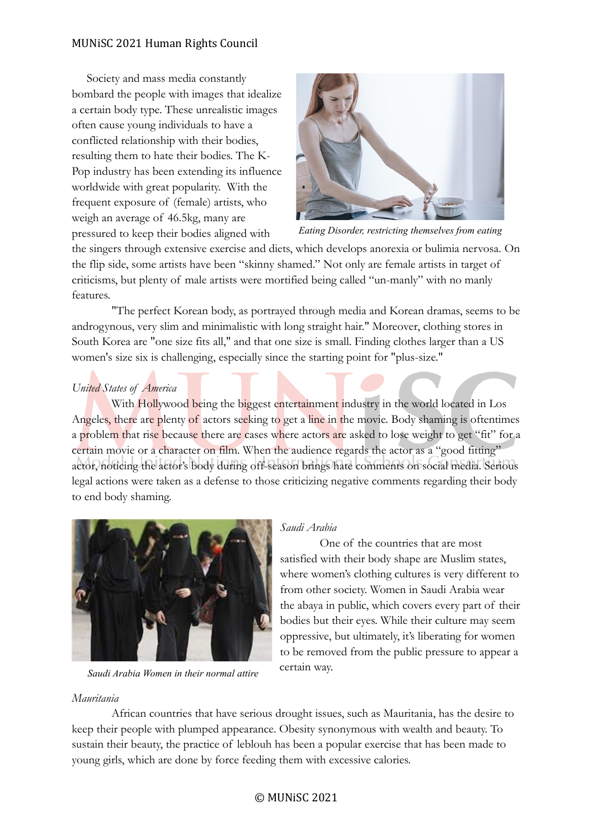#### MUNiSC 2021 Human Rights Council

 Society and mass media constantly bombard the people with images that idealize a certain body type. These unrealistic images often cause young individuals to have a conflicted relationship with their bodies, resulting them to hate their bodies. The K-Pop industry has been extending its influence worldwide with great popularity. With the frequent exposure of (female) artists, who weigh an average of 46.5kg, many are pressured to keep their bodies aligned with



*Eating Disorder, restricting themselves from eating*

the singers through extensive exercise and diets, which develops anorexia or bulimia nervosa. On the flip side, some artists have been "skinny shamed." Not only are female artists in target of criticisms, but plenty of male artists were mortified being called "un-manly" with no manly features.

"The perfect Korean body, as portrayed through media and Korean dramas, seems to be androgynous, very slim and minimalistic with long straight hair." Moreover, clothing stores in South Korea are "one size fits all," and that one size is small. Finding clothes larger than a US women's size six is challenging, especially since the starting point for "plus-size."

#### *United States of America*

With Hollywood being the biggest entertainment industry in the world located in Los Angeles, there are plenty of actors seeking to get a line in the movie. Body shaming is oftentimes a problem that rise because there are cases where actors are asked to lose weight to get "fit" for a certain movie or a character on film. When the audience regards the actor as a "good fitting" actor, noticing the actor's body during off-season brings hate comments on social media. Serious legal actions were taken as a defense to those criticizing negative comments regarding their body to end body shaming.



*Saudi Arabia Women in their normal attire*

#### *Saudi Arabia*

One of the countries that are most satisfied with their body shape are Muslim states, where women's clothing cultures is very different to from other society. Women in Saudi Arabia wear the abaya in public, which covers every part of their bodies but their eyes. While their culture may seem oppressive, but ultimately, it's liberating for women to be removed from the public pressure to appear a certain way.

#### *Mauritania ugee Camps in South Sudan*

African countries that have serious drought issues, such as Mauritania, has the desire to keep their people with plumped appearance. Obesity synonymous with wealth and beauty. To sustain their beauty, the practice of leblouh has been a popular exercise that has been made to young girls, which are done by force feeding them with excessive calories.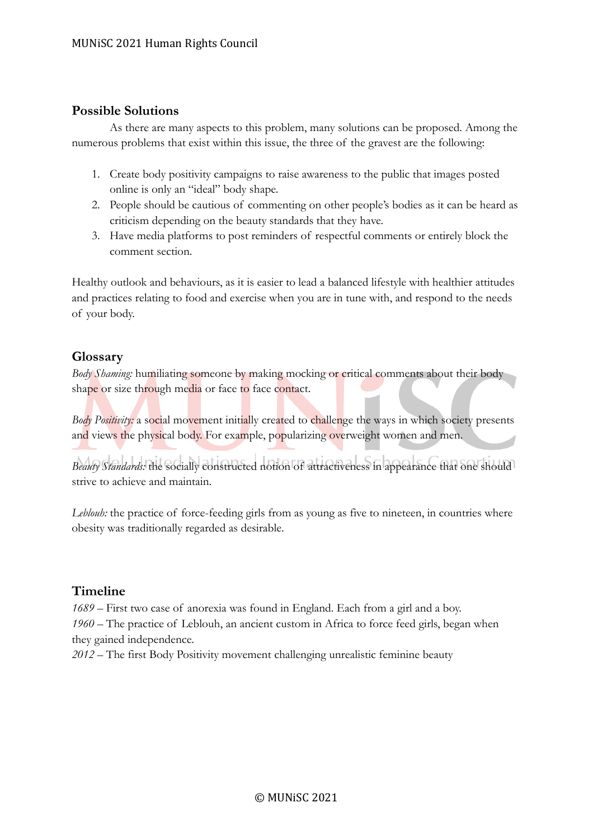#### **Possible Solutions**

As there are many aspects to this problem, many solutions can be proposed. Among the numerous problems that exist within this issue, the three of the gravest are the following:

- 1. Create body positivity campaigns to raise awareness to the public that images posted online is only an "ideal" body shape.
- 2. People should be cautious of commenting on other people's bodies as it can be heard as criticism depending on the beauty standards that they have.
- 3. Have media platforms to post reminders of respectful comments or entirely block the comment section.

Healthy outlook and behaviours, as it is easier to lead a balanced lifestyle with healthier attitudes and practices relating to food and exercise when you are in tune with, and respond to the needs of your body.

#### **Glossary**

*Body Shaming:* humiliating someone by making mocking or critical comments about their body shape or size through media or face to face contact.

*Body Positivity:* a social movement initially created to challenge the ways in which society presents and views the physical body. For example, popularizing overweight women and men.

*Beauty Standards:* the socially constructed notion of attractiveness in appearance that one should strive to achieve and maintain.

*Leblouh:* the practice of force-feeding girls from as young as five to nineteen, in countries where obesity was traditionally regarded as desirable.

#### **Timeline**

*1689 –* First two case of anorexia was found in England. Each from a girl and a boy. *1960 –* The practice of Leblouh, an ancient custom in Africa to force feed girls, began when they gained independence.

*2012 –* The first Body Positivity movement challenging unrealistic feminine beauty